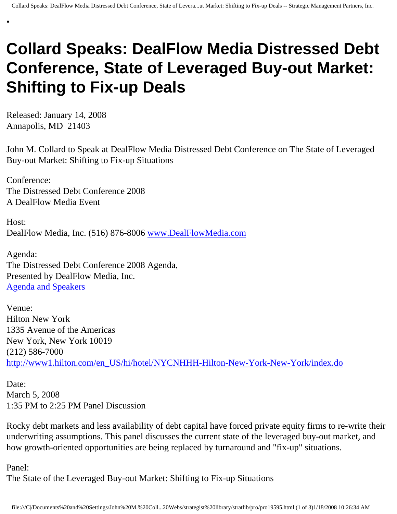## **Collard Speaks: DealFlow Media Distressed Debt Conference, State of Leveraged Buy-out Market: Shifting to Fix-up Deals**

Released: January 14, 2008 Annapolis, MD 21403

•

John M. Collard to Speak at DealFlow Media Distressed Debt Conference on The State of Leveraged Buy-out Market: Shifting to Fix-up Situations

Conference: The Distressed Debt Conference 2008 A DealFlow Media Event

Host: DealFlow Media, Inc. (516) 876-8006 [www.DealFlowMedia.com](http://www.dealflowmedia.com/)

Agenda: The Distressed Debt Conference 2008 Agenda, Presented by DealFlow Media, Inc. [Agenda and Speakers](http://www.dealflowmedia.com/conferences/dd_conference_08_agenda.cfm)

Venue: Hilton New York 1335 Avenue of the Americas New York, New York 10019 (212) 586-7000 [http://www1.hilton.com/en\\_US/hi/hotel/NYCNHHH-Hilton-New-York-New-York/index.do](http://www1.hilton.com/en_US/hi/hotel/NYCNHHH-Hilton-New-York-New-York/index.do)

Date: March 5, 2008 1:35 PM to 2:25 PM Panel Discussion

Rocky debt markets and less availability of debt capital have forced private equity firms to re-write their underwriting assumptions. This panel discusses the current state of the leveraged buy-out market, and how growth-oriented opportunities are being replaced by turnaround and "fix-up" situations.

Panel:

The State of the Leveraged Buy-out Market: Shifting to Fix-up Situations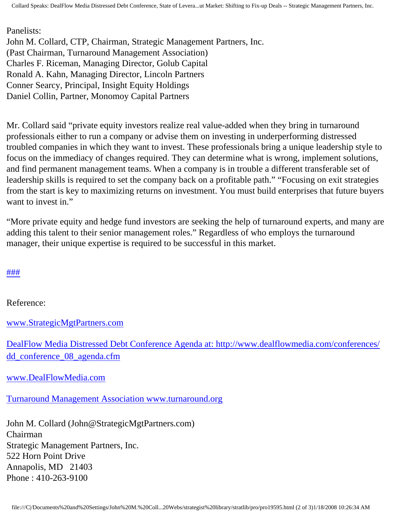Collard Speaks: DealFlow Media Distressed Debt Conference, State of Levera...ut Market: Shifting to Fix-up Deals -- Strategic Management Partners, Inc.

Panelists: John M. Collard, CTP, Chairman, Strategic Management Partners, Inc. (Past Chairman, Turnaround Management Association) Charles F. Riceman, Managing Director, Golub Capital Ronald A. Kahn, Managing Director, Lincoln Partners Conner Searcy, Principal, Insight Equity Holdings Daniel Collin, Partner, Monomoy Capital Partners

Mr. Collard said "private equity investors realize real value-added when they bring in turnaround professionals either to run a company or advise them on investing in underperforming distressed troubled companies in which they want to invest. These professionals bring a unique leadership style to focus on the immediacy of changes required. They can determine what is wrong, implement solutions, and find permanent management teams. When a company is in trouble a different transferable set of leadership skills is required to set the company back on a profitable path." "Focusing on exit strategies from the start is key to maximizing returns on investment. You must build enterprises that future buyers want to invest in."

"More private equity and hedge fund investors are seeking the help of turnaround experts, and many are adding this talent to their senior management roles." Regardless of who employs the turnaround manager, their unique expertise is required to be successful in this market.

## [#](http://members.aol.com/Strategist/home.html)[#](http://members.aol.com/Strategist/sitemap.html)[#](http://members.aol.com/Strategist/urllist.txt)

Reference:

[www.StrategicMgtPartners.com](http://www.strategicmgtpartners.com/)

[DealFlow Media Distressed Debt Conference Agenda at: http://www.dealflowmedia.com/conferences/](http://www.dealflowmedia.com/conferences/dd_conference_08_agenda.cfm) [dd\\_conference\\_08\\_agenda.cfm](http://www.dealflowmedia.com/conferences/dd_conference_08_agenda.cfm)

[www.DealFlowMedia.com](http://www.dealflowmedia.com/)

[Turnaround Management Association www.turnaround.org](http://www.turnaround.org/)

John M. Collard (John@StrategicMgtPartners.com) Chairman Strategic Management Partners, Inc. 522 Horn Point Drive Annapolis, MD 21403 Phone : 410-263-9100